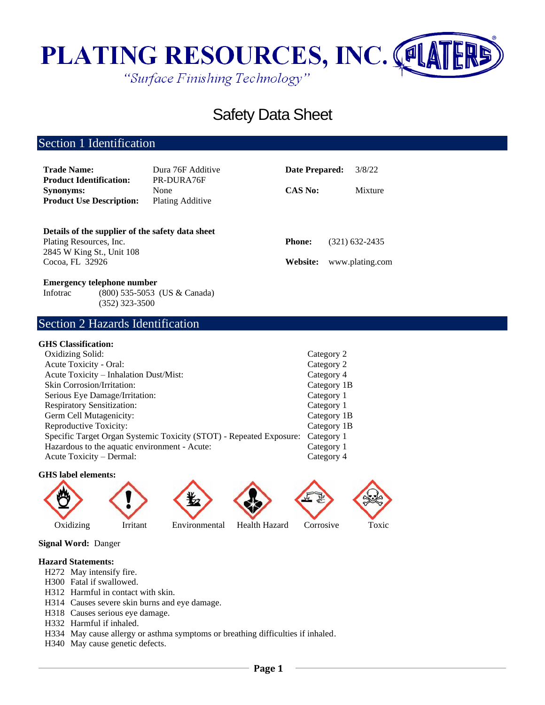

Safety Data Sheet

# Section 1 Identification

| <b>Trade Name:</b><br><b>Product Identification:</b><br><b>Synonyms:</b> | Dura 76F Additive<br>PR-DURA76F<br>None<br><b>Product Use Description:</b><br>Plating Additive |                                                  | Date Prepared:<br>CAS No: | 3/8/22<br>Mixture                   |
|--------------------------------------------------------------------------|------------------------------------------------------------------------------------------------|--------------------------------------------------|---------------------------|-------------------------------------|
| Plating Resources, Inc.<br>2845 W King St., Unit 108<br>Cocoa, FL 32926  |                                                                                                | Details of the supplier of the safety data sheet | <b>Phone:</b><br>Website: | $(321)$ 632-2435<br>www.plating.com |
| <b>Emergency telephone number</b><br>Infotrac                            | (352) 323-3500                                                                                 | (800) 535-5053 (US & Canada)                     |                           |                                     |

# Section 2 Hazards Identification

## **GHS Classification:**

| Oxidizing Solid:                                                    | Category 2  |
|---------------------------------------------------------------------|-------------|
| <b>Acute Toxicity - Oral:</b>                                       | Category 2  |
| Acute Toxicity – Inhalation Dust/Mist:                              | Category 4  |
| <b>Skin Corrosion/Irritation:</b>                                   | Category 1B |
| Serious Eye Damage/Irritation:                                      | Category 1  |
| <b>Respiratory Sensitization:</b>                                   | Category 1  |
| Germ Cell Mutagenicity:                                             | Category 1B |
| Reproductive Toxicity:                                              | Category 1B |
| Specific Target Organ Systemic Toxicity (STOT) - Repeated Exposure: | Category 1  |
| Hazardous to the aquatic environment - Acute:                       | Category 1  |
| Acute Toxicity – Dermal:                                            | Category 4  |

#### **GHS label elements:**











Oxidizing Irritant Environmental Health Hazard Corrosive Toxic

**Signal Word:** Danger

#### **Hazard Statements:**

- H272 May intensify fire.
- H300 Fatal if swallowed.
- H312 Harmful in contact with skin.
- H314 Causes severe skin burns and eye damage.
- H318 Causes serious eye damage.
- H332 Harmful if inhaled.
- H334 May cause allergy or asthma symptoms or breathing difficulties if inhaled.
- H340 May cause genetic defects.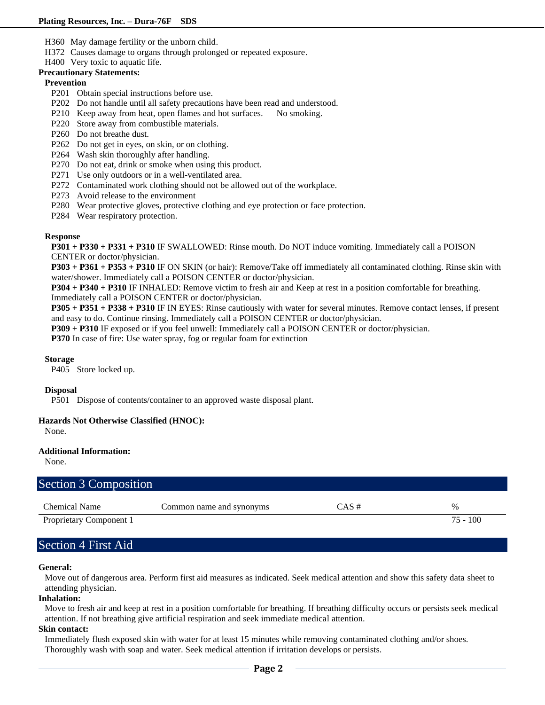- H360 May damage fertility or the unborn child.
- H372 Causes damage to organs through prolonged or repeated exposure.
- H400 Very toxic to aquatic life.

### **Precautionary Statements:**

### **Prevention**

- P201 Obtain special instructions before use.
- P202 Do not handle until all safety precautions have been read and understood.
- P210 Keep away from heat, open flames and hot surfaces. No smoking.
- P220 Store away from combustible materials.
- P260 Do not breathe dust.
- P262 Do not get in eyes, on skin, or on clothing.
- P264 Wash skin thoroughly after handling.
- P270 Do not eat, drink or smoke when using this product.
- P271 Use only outdoors or in a well-ventilated area.
- P272 Contaminated work clothing should not be allowed out of the workplace.
- P273 Avoid release to the environment
- P280 Wear protective gloves, protective clothing and eye protection or face protection.
- P284 Wear respiratory protection.

#### **Response**

**P301 + P330 + P331 + P310** IF SWALLOWED: Rinse mouth. Do NOT induce vomiting. Immediately call a POISON CENTER or doctor/physician.

**P303 + P361 + P353 + P310** IF ON SKIN (or hair): Remove/Take off immediately all contaminated clothing. Rinse skin with water/shower. Immediately call a POISON CENTER or doctor/physician.

**P304 + P340 + P310** IF INHALED: Remove victim to fresh air and Keep at rest in a position comfortable for breathing. Immediately call a POISON CENTER or doctor/physician.

**P305 + P351 + P338 + P310** IF IN EYES: Rinse cautiously with water for several minutes. Remove contact lenses, if present and easy to do. Continue rinsing. Immediately call a POISON CENTER or doctor/physician.

**P309 + P310** IF exposed or if you feel unwell: Immediately call a POISON CENTER or doctor/physician.

**P370** In case of fire: Use water spray, fog or regular foam for extinction

#### **Storage**

P405 Store locked up.

#### **Disposal**

P501 Dispose of contents/container to an approved waste disposal plant.

#### **Hazards Not Otherwise Classified (HNOC):**

None.

#### **Additional Information:**

None.

| Section 3 Composition   |                          |          |            |
|-------------------------|--------------------------|----------|------------|
| <b>Chemical Name</b>    | Common name and synonyms | $CAS \#$ | $\%$       |
| Proprietary Component 1 |                          |          | $75 - 100$ |

# Section 4 First Aid

#### **General:**

Move out of dangerous area. Perform first aid measures as indicated. Seek medical attention and show this safety data sheet to attending physician.

#### **Inhalation:**

Move to fresh air and keep at rest in a position comfortable for breathing. If breathing difficulty occurs or persists seek medical attention. If not breathing give artificial respiration and seek immediate medical attention.

#### **Skin contact:**

Immediately flush exposed skin with water for at least 15 minutes while removing contaminated clothing and/or shoes. Thoroughly wash with soap and water. Seek medical attention if irritation develops or persists.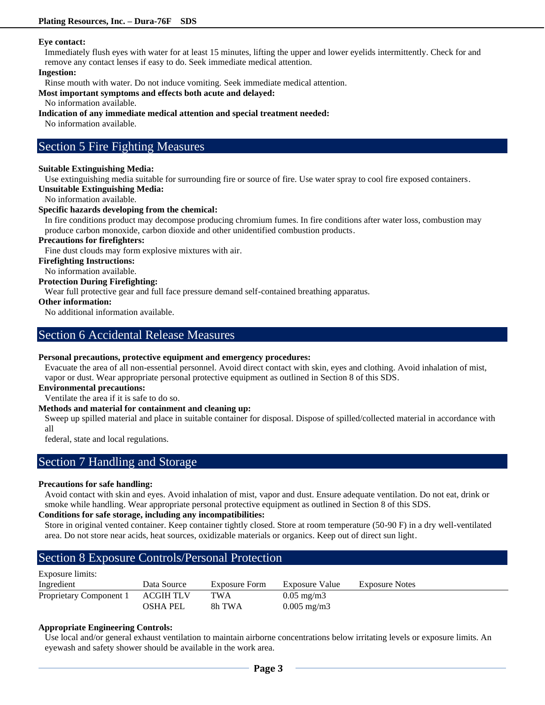#### **Eye contact:**

Immediately flush eyes with water for at least 15 minutes, lifting the upper and lower eyelids intermittently. Check for and remove any contact lenses if easy to do. Seek immediate medical attention.

#### **Ingestion:**

Rinse mouth with water. Do not induce vomiting. Seek immediate medical attention.

#### **Most important symptoms and effects both acute and delayed:**

No information available.

### **Indication of any immediate medical attention and special treatment needed:**

No information available.

# Section 5 Fire Fighting Measures

#### **Suitable Extinguishing Media:**

Use extinguishing media suitable for surrounding fire or source of fire. Use water spray to cool fire exposed containers.

**Unsuitable Extinguishing Media:**

No information available.

#### **Specific hazards developing from the chemical:**

In fire conditions product may decompose producing chromium fumes. In fire conditions after water loss, combustion may produce carbon monoxide, carbon dioxide and other unidentified combustion products.

### **Precautions for firefighters:**

Fine dust clouds may form explosive mixtures with air.

**Firefighting Instructions:**

No information available.

**Protection During Firefighting:**

Wear full protective gear and full face pressure demand self-contained breathing apparatus.

#### **Other information:**

No additional information available.

## Section 6 Accidental Release Measures

#### **Personal precautions, protective equipment and emergency procedures:**

Evacuate the area of all non-essential personnel. Avoid direct contact with skin, eyes and clothing. Avoid inhalation of mist, vapor or dust. Wear appropriate personal protective equipment as outlined in Section 8 of this SDS.

#### **Environmental precautions:**

Ventilate the area if it is safe to do so.

#### **Methods and material for containment and cleaning up:**

Sweep up spilled material and place in suitable container for disposal. Dispose of spilled/collected material in accordance with all

federal, state and local regulations.

# Section 7 Handling and Storage

#### **Precautions for safe handling:**

Avoid contact with skin and eyes. Avoid inhalation of mist, vapor and dust. Ensure adequate ventilation. Do not eat, drink or smoke while handling. Wear appropriate personal protective equipment as outlined in Section 8 of this SDS.

### **Conditions for safe storage, including any incompatibilities:**

Store in original vented container. Keep container tightly closed. Store at room temperature (50-90 F) in a dry well-ventilated area. Do not store near acids, heat sources, oxidizable materials or organics. Keep out of direct sun light.

## Section 8 Exposure Controls/Personal Protection

| Exposure limits:        |                  |               |                        |                       |
|-------------------------|------------------|---------------|------------------------|-----------------------|
| Ingredient              | Data Source      | Exposure Form | Exposure Value         | <b>Exposure Notes</b> |
| Proprietary Component 1 | <b>ACGIH TLV</b> | TWA           | $0.05 \text{ mg/m}$ 3  |                       |
|                         | OSHA PEL         | 8h TWA        | $0.005 \text{ mg/m}$ 3 |                       |

### **Appropriate Engineering Controls:**

Use local and/or general exhaust ventilation to maintain airborne concentrations below irritating levels or exposure limits. An eyewash and safety shower should be available in the work area.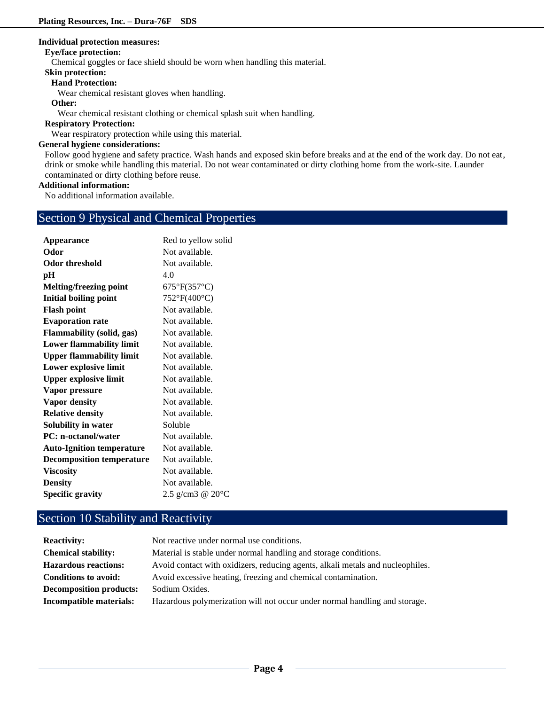#### **Individual protection measures:**

#### **Eye/face protection:**

Chemical goggles or face shield should be worn when handling this material.

### **Skin protection:**

### **Hand Protection:**

Wear chemical resistant gloves when handling.

#### **Other:**

Wear chemical resistant clothing or chemical splash suit when handling.

## **Respiratory Protection:**

Wear respiratory protection while using this material.

## **General hygiene considerations:**

Follow good hygiene and safety practice. Wash hands and exposed skin before breaks and at the end of the work day. Do not eat, drink or smoke while handling this material. Do not wear contaminated or dirty clothing home from the work-site. Launder contaminated or dirty clothing before reuse.

#### **Additional information:**

No additional information available.

# Section 9 Physical and Chemical Properties

| Appearance                       | Red to yellow solid          |
|----------------------------------|------------------------------|
| Odor                             | Not available.               |
| <b>Odor threshold</b>            | Not available.               |
| pН                               | 4.0                          |
| Melting/freezing point           | $675^{\circ}F(357^{\circ}C)$ |
| <b>Initial boiling point</b>     | 752°F(400°C)                 |
| <b>Flash point</b>               | Not available.               |
| <b>Evaporation rate</b>          | Not available.               |
| <b>Flammability (solid, gas)</b> | Not available.               |
| <b>Lower flammability limit</b>  | Not available.               |
| <b>Upper flammability limit</b>  | Not available.               |
| Lower explosive limit            | Not available.               |
| <b>Upper explosive limit</b>     | Not available.               |
| Vapor pressure                   | Not available.               |
| <b>Vapor density</b>             | Not available.               |
| <b>Relative density</b>          | Not available.               |
| Solubility in water              | Soluble                      |
| <b>PC:</b> n-octanol/water       | Not available.               |
| <b>Auto-Ignition temperature</b> | Not available.               |
| <b>Decomposition temperature</b> | Not available.               |
| <b>Viscosity</b>                 | Not available.               |
| <b>Density</b>                   | Not available.               |
| <b>Specific gravity</b>          | 2.5 g/cm3 @ 20°C             |

# Section 10 Stability and Reactivity

| <b>Reactivity:</b>             | Not reactive under normal use conditions.                                      |  |  |  |
|--------------------------------|--------------------------------------------------------------------------------|--|--|--|
| <b>Chemical stability:</b>     | Material is stable under normal handling and storage conditions.               |  |  |  |
| <b>Hazardous reactions:</b>    | Avoid contact with oxidizers, reducing agents, alkali metals and nucleophiles. |  |  |  |
| <b>Conditions to avoid:</b>    | Avoid excessive heating, freezing and chemical contamination.                  |  |  |  |
| <b>Decomposition products:</b> | Sodium Oxides.                                                                 |  |  |  |
| <b>Incompatible materials:</b> | Hazardous polymerization will not occur under normal handling and storage.     |  |  |  |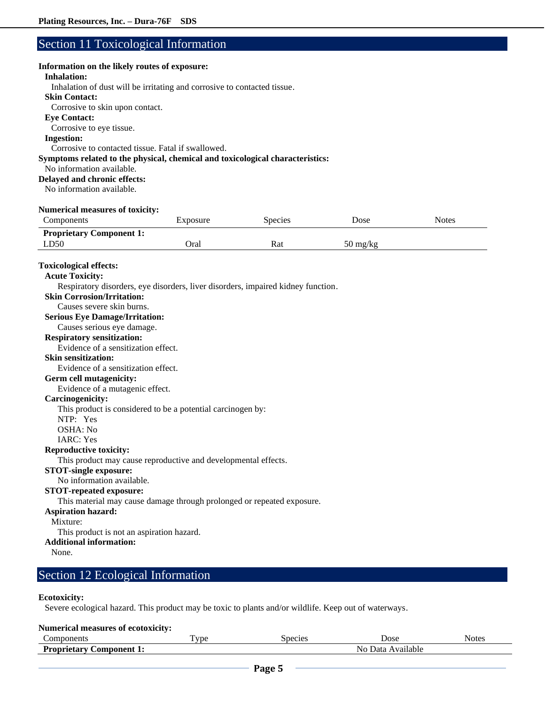# Section 11 Toxicological Information

| Information on the likely routes of exposure:                                    |          |         |                                  |              |  |  |
|----------------------------------------------------------------------------------|----------|---------|----------------------------------|--------------|--|--|
| <b>Inhalation:</b>                                                               |          |         |                                  |              |  |  |
| Inhalation of dust will be irritating and corrosive to contacted tissue.         |          |         |                                  |              |  |  |
| <b>Skin Contact:</b>                                                             |          |         |                                  |              |  |  |
| Corrosive to skin upon contact.<br><b>Eye Contact:</b>                           |          |         |                                  |              |  |  |
| Corrosive to eye tissue.                                                         |          |         |                                  |              |  |  |
| <b>Ingestion:</b>                                                                |          |         |                                  |              |  |  |
| Corrosive to contacted tissue. Fatal if swallowed.                               |          |         |                                  |              |  |  |
| Symptoms related to the physical, chemical and toxicological characteristics:    |          |         |                                  |              |  |  |
| No information available.                                                        |          |         |                                  |              |  |  |
| Delayed and chronic effects:                                                     |          |         |                                  |              |  |  |
| No information available.                                                        |          |         |                                  |              |  |  |
| <b>Numerical measures of toxicity:</b>                                           |          |         |                                  |              |  |  |
| Components                                                                       | Exposure | Species | Dose                             | <b>Notes</b> |  |  |
| <b>Proprietary Component 1:</b>                                                  |          |         |                                  |              |  |  |
| LD50                                                                             | Oral     | Rat     | $50 \frac{\text{mg}}{\text{kg}}$ |              |  |  |
|                                                                                  |          |         |                                  |              |  |  |
| <b>Toxicological effects:</b>                                                    |          |         |                                  |              |  |  |
| <b>Acute Toxicity:</b>                                                           |          |         |                                  |              |  |  |
| Respiratory disorders, eye disorders, liver disorders, impaired kidney function. |          |         |                                  |              |  |  |
| <b>Skin Corrosion/Irritation:</b>                                                |          |         |                                  |              |  |  |
| Causes severe skin burns.                                                        |          |         |                                  |              |  |  |
| <b>Serious Eye Damage/Irritation:</b>                                            |          |         |                                  |              |  |  |
| Causes serious eye damage.                                                       |          |         |                                  |              |  |  |
| <b>Respiratory sensitization:</b>                                                |          |         |                                  |              |  |  |
| Evidence of a sensitization effect.                                              |          |         |                                  |              |  |  |
| <b>Skin sensitization:</b><br>Evidence of a sensitization effect.                |          |         |                                  |              |  |  |
| Germ cell mutagenicity:                                                          |          |         |                                  |              |  |  |
| Evidence of a mutagenic effect.                                                  |          |         |                                  |              |  |  |
| <b>Carcinogenicity:</b>                                                          |          |         |                                  |              |  |  |
| This product is considered to be a potential carcinogen by:                      |          |         |                                  |              |  |  |
| NTP: Yes                                                                         |          |         |                                  |              |  |  |
| OSHA: No                                                                         |          |         |                                  |              |  |  |
| <b>IARC: Yes</b>                                                                 |          |         |                                  |              |  |  |
| <b>Reproductive toxicity:</b>                                                    |          |         |                                  |              |  |  |
| This product may cause reproductive and developmental effects.                   |          |         |                                  |              |  |  |
| <b>STOT-single exposure:</b>                                                     |          |         |                                  |              |  |  |
| No information available.                                                        |          |         |                                  |              |  |  |
| <b>STOT-repeated exposure:</b>                                                   |          |         |                                  |              |  |  |
| This material may cause damage through prolonged or repeated exposure.           |          |         |                                  |              |  |  |
| <b>Aspiration hazard:</b>                                                        |          |         |                                  |              |  |  |
| Mixture:                                                                         |          |         |                                  |              |  |  |
| This product is not an aspiration hazard.                                        |          |         |                                  |              |  |  |
| <b>Additional information:</b>                                                   |          |         |                                  |              |  |  |
| None.                                                                            |          |         |                                  |              |  |  |
|                                                                                  |          |         |                                  |              |  |  |
| Section 12 Ecological Information                                                |          |         |                                  |              |  |  |

### **Ecotoxicity:**

Severe ecological hazard. This product may be toxic to plants and/or wildlife. Keep out of waterways.

| <b>Numerical measures of ecotoxicity:</b> |             |         |                   |       |  |  |
|-------------------------------------------|-------------|---------|-------------------|-------|--|--|
| Components                                | <b>v</b> pe | Species | Jose              | Notes |  |  |
| <b>Proprietary Component 1:</b>           |             |         | No Data Available |       |  |  |
|                                           |             |         |                   |       |  |  |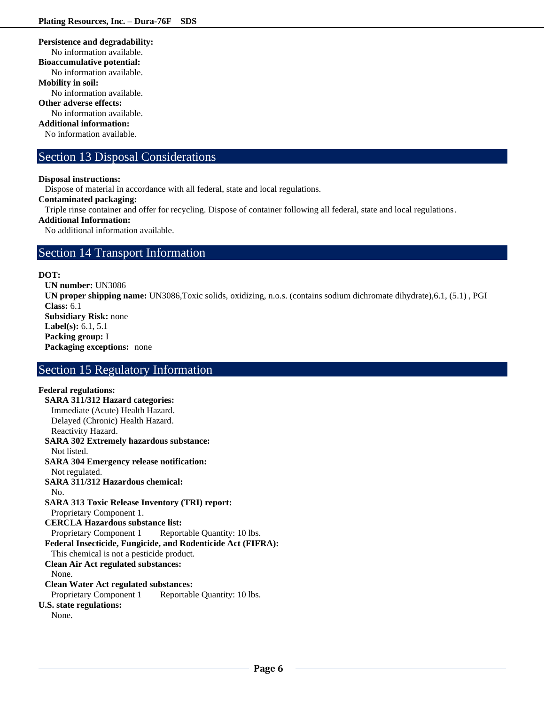#### **Persistence and degradability:**

No information available.

**Bioaccumulative potential:**

No information available.

## **Mobility in soil:**

No information available.

# **Other adverse effects:**

No information available.

# **Additional information:**

No information available.

# Section 13 Disposal Considerations

#### **Disposal instructions:**

Dispose of material in accordance with all federal, state and local regulations.

### **Contaminated packaging:**

Triple rinse container and offer for recycling. Dispose of container following all federal, state and local regulations.

### **Additional Information:**

No additional information available.

## Section 14 Transport Information

#### **DOT:**

**UN number:** UN3086 **UN proper shipping name:** UN3086,Toxic solids, oxidizing, n.o.s. (contains sodium dichromate dihydrate),6.1, (5.1) , PGI **Class:** 6.1 **Subsidiary Risk:** none **Label(s):** 6.1, 5.1 **Packing group:** I **Packaging exceptions:** none

## Section 15 Regulatory Information

#### **Federal regulations:**

**SARA 311/312 Hazard categories:**  Immediate (Acute) Health Hazard. Delayed (Chronic) Health Hazard. Reactivity Hazard. **SARA 302 Extremely hazardous substance:** Not listed. **SARA 304 Emergency release notification:** Not regulated. **SARA 311/312 Hazardous chemical:** No. **SARA 313 Toxic Release Inventory (TRI) report:** Proprietary Component 1. **CERCLA Hazardous substance list:** Proprietary Component 1 Reportable Quantity: 10 lbs. **Federal Insecticide, Fungicide, and Rodenticide Act (FIFRA):** This chemical is not a pesticide product. **Clean Air Act regulated substances:** None. **Clean Water Act regulated substances:** Proprietary Component 1 Reportable Quantity: 10 lbs. **U.S. state regulations:**  None.